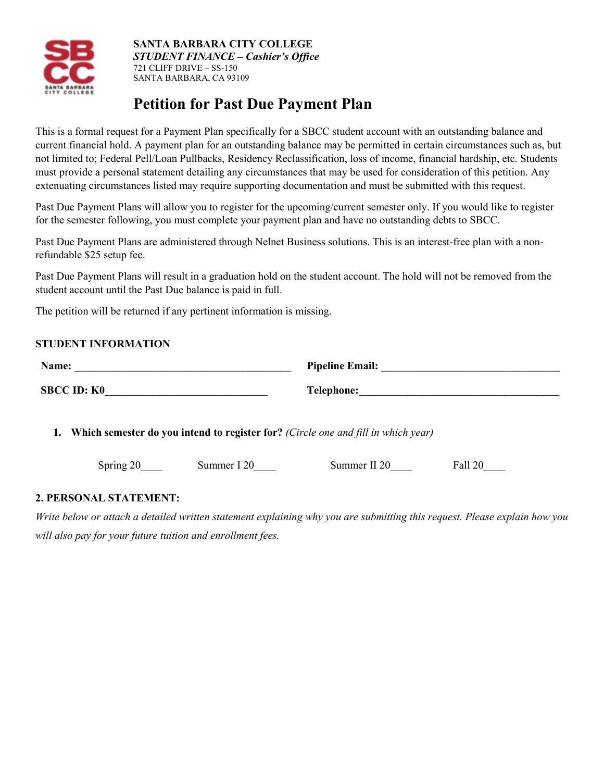

#### **SANTA BARBARA CITY COLLEGE**  *STUDENT FINANCE – Cashier's Office*  721 CLIFF DRIVE – SS-150 SANTA BARBARA, CA 93109

# **Petition for Past Due Payment Plan**

This is a formal request for a Payment Plan specifically for a SBCC student account with an outstanding balance and current financial hold. A payment plan for an outstanding balance may be permitted in certain circumstances such as, but not limited to; Federal Pell/Loan Pullbacks, Residency Reclassification, loss of income, financial hardship, etc. Students must provide a personal statement detailing any circumstances that may be used for consideration of this petition. Any extenuating circumstances listed may require supporting documentation and must be submitted with this request.

Past Due Payment Plans will allow you to register for the upcoming/current semester only. If you would like to register for the semester following, you must complete your payment plan and have no outstanding debts to SBCC.

Past Due Payment Plans are administered through Nelnet Business solutions. This is an interest-free plan with a nonrefundable \$25 setup fee.

Past Due Payment Plans will result in a graduation hold on the student account. The hold will not be removed from the student account until the Past Due balance is paid in full.

The petition will be returned if any pertinent information is missing.

## **STUDENT INFORMATION**

| Name:                                                                                          |             |             |              |                                                                                                                      |
|------------------------------------------------------------------------------------------------|-------------|-------------|--------------|----------------------------------------------------------------------------------------------------------------------|
| <b>SBCC ID: K0</b>                                                                             |             |             | Telephone:   | <u> 1989 - Johann John Harry Harry Harry Harry Harry Harry Harry Harry Harry Harry Harry Harry Harry Harry Harry</u> |
| <b>Which semester do you intend to register for?</b> (Circle one and fill in which year)<br>1. |             |             |              |                                                                                                                      |
|                                                                                                | Spring $20$ | Summer I 20 | Summer II 20 | Fall 20                                                                                                              |

#### **2. PERSONAL STATEMENT:**

*Write below or attach a detailed written statement explaining why you are submitting this request. Please explain how you will also pay for your future tuition and enrollment fees.*